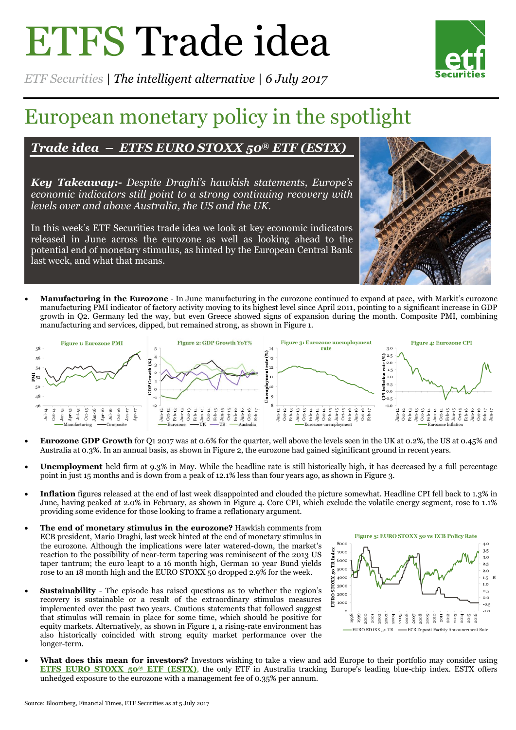# ETFS Trade idea



*ETF Securities | The intelligent alternative | 6 July 2017*

## European monetary policy in the spotlight

## *Trade idea – ETFS EURO STOXX 50® ETF (ESTX)*

*Key Takeaway:- Despite Draghi's hawkish statements, Europe's economic indicators still point to a strong continuing recovery with levels over and above Australia, the US and the UK.*

In this week's ETF Securities trade idea we look at key economic indicators released in June across the eurozone as well as looking ahead to the potential end of monetary stimulus, as hinted by the European Central Bank last week, and what that means.



 **Manufacturing in the Eurozone** - In June manufacturing in the eurozone continued to expand at pace**,** with Markit's eurozone manufacturing PMI indicator of factory activity moving to its highest level since April 2011, pointing to a significant increase in GDP growth in Q2. Germany led the way, but even Greece showed signs of expansion during the month. Composite PMI, combining manufacturing and services, dipped, but remained strong, as shown in Figure 1.



- **Eurozone GDP Growth** for Q1 2017 was at 0.6% for the quarter, well above the levels seen in the UK at 0.2%, the US at 0.45% and Australia at 0.3%. In an annual basis, as shown in Figure 2, the eurozone had gained siginificant ground in recent years.
- **Unemployment** held firm at 9.3% in May. While the headline rate is still historically high, it has decreased by a full percentage point in just 15 months and is down from a peak of 12.1% less than four years ago, as shown in Figure 3.
- **Inflation** figures released at the end of last week disappointed and clouded the picture somewhat. Headline CPI fell back to 1.3% in June, having peaked at 2.0% in February, as shown in Figure 4. Core CPI, which exclude the volatile energy segment, rose to 1.1% providing some evidence for those looking to frame a reflationary argument.
- **The end of monetary stimulus in the eurozone?** Hawkish comments from ECB president, Mario Draghi, last week hinted at the end of monetary stimulus in the eurozone. Although the implications were later watered-down, the market's reaction to the possibility of near-term tapering was reminiscent of the 2013 US taper tantrum; the euro leapt to a 16 month high, German 10 year Bund yields rose to an 18 month high and the EURO STOXX 50 dropped 2.9% for the week.
- **Sustainability** The episode has raised questions as to whether the region's recovery is sustainable or a result of the extraordinary stimulus measures implemented over the past two years. Cautious statements that followed suggest that stimulus will remain in place for some time, which should be positive for equity markets. Alternatively, as shown in Figure 1, a rising-rate environment has also historically coincided with strong equity market performance over the longer-term.



 **What does this mean for investors?** Investors wishing to take a view and add Europe to their portfolio may consider using **[ETFS EURO STOXX 50](https://www.etfsecurities.com/institutional/au/en-gb/products/product/etfs-euro-stoxx-50--etf-estx-asx)® ETF (ESTX)**, the only ETF in Australia tracking Europe's leading blue-chip index. ESTX offers unhedged exposure to the eurozone with a management fee of 0.35% per annum.